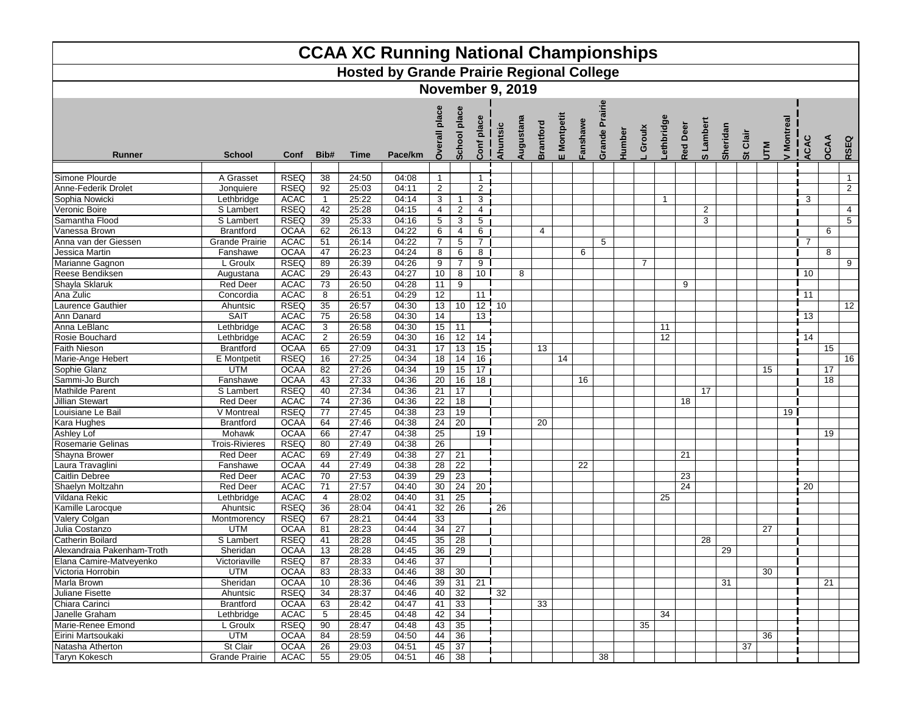| <b>CCAA XC Running National Championships</b><br><b>Hosted by Grande Prairie Regional College</b> |                       |             |                 |       |         |                 |                         |                        |                |           |                  |             |          |                |        |                |                 |          |                         |          |          |            |                 |                 |                |
|---------------------------------------------------------------------------------------------------|-----------------------|-------------|-----------------|-------|---------|-----------------|-------------------------|------------------------|----------------|-----------|------------------|-------------|----------|----------------|--------|----------------|-----------------|----------|-------------------------|----------|----------|------------|-----------------|-----------------|----------------|
|                                                                                                   |                       |             |                 |       |         |                 |                         |                        |                |           |                  |             |          |                |        |                |                 |          |                         |          |          |            |                 |                 |                |
|                                                                                                   |                       |             |                 |       |         |                 | <b>November 9, 2019</b> |                        |                |           |                  |             |          |                |        |                |                 |          |                         |          |          |            |                 |                 |                |
|                                                                                                   |                       |             |                 |       |         |                 |                         |                        |                |           |                  |             |          |                |        |                |                 |          |                         |          |          |            |                 |                 |                |
| Runner                                                                                            | <b>School</b>         | Conf        | Bib#            | Time  | Pace/km | place<br>Š      | place<br>School         | place<br>$\frac{1}{1}$ | Ahuntsic       | Augustana | <b>Brantford</b> | E Montpetit | Fanshawe | Grande Prairie | Humber | Groulx         | ethbridg        | Red Deer | Lambert<br>ທ            | Sheridan | St Clair | <b>NTV</b> | / Montreal      | <b>ACAC</b>     | OCAA<br>RSEQ   |
|                                                                                                   |                       |             |                 |       |         |                 |                         |                        |                |           |                  |             |          |                |        |                |                 |          |                         |          |          |            |                 |                 |                |
| Simone Plourde                                                                                    | A Grasset             | <b>RSEQ</b> | 38              | 24:50 | 04:08   | $\mathbf{1}$    |                         | $\mathbf{1}$           |                |           |                  |             |          |                |        |                |                 |          |                         |          |          |            |                 |                 | $\mathbf{1}$   |
| Anne-Federik Drolet                                                                               | Jonquiere             | <b>RSEQ</b> | $\overline{92}$ | 25:03 | 04:11   | $\overline{2}$  |                         | $\overline{2}$         |                |           |                  |             |          |                |        |                |                 |          |                         |          |          |            |                 |                 | $\overline{2}$ |
| Sophia Nowicki                                                                                    | Lethbridge            | <b>ACAC</b> | $\overline{1}$  | 25:22 | 04:14   | 3               | 1                       | $\mathbf{3}$           |                |           |                  |             |          |                |        |                | $\mathbf{1}$    |          |                         |          |          |            |                 | 3               |                |
| Veronic Boire                                                                                     | S Lambert             | <b>RSEQ</b> | 42              | 25:28 | 04:15   | 4               | $\overline{c}$          | 4                      |                |           |                  |             |          |                |        |                |                 |          | $\overline{\mathbf{c}}$ |          |          |            |                 |                 | $\overline{4}$ |
| Samantha Flood                                                                                    | S Lambert             | <b>RSEQ</b> | 39              | 25:33 | 04:16   | $\sqrt{5}$      | $\mathbf{3}$            | 5                      |                |           |                  |             |          |                |        |                |                 |          | 3                       |          |          |            |                 |                 | $\overline{5}$ |
| Vanessa Brown                                                                                     | <b>Brantford</b>      | <b>OCAA</b> | 62              | 26:13 | 04:22   | 6               | 4                       | 6                      |                |           | 4                |             |          |                |        |                |                 |          |                         |          |          |            |                 |                 | 6              |
| Anna van der Giessen                                                                              | <b>Grande Prairie</b> | <b>ACAC</b> | 51              | 26:14 | 04:22   | $\overline{7}$  | 5                       | $\overline{7}$         |                |           |                  |             |          | 5              |        |                |                 |          |                         |          |          |            |                 | 7               |                |
| Jessica Martin                                                                                    | Fanshawe              | <b>OCAA</b> | 47              | 26:23 | 04:24   | 8               | 6                       | 8                      |                |           |                  |             | 6        |                |        |                |                 |          |                         |          |          |            |                 |                 | 8              |
| Marianne Gagnon                                                                                   | L Groulx              | <b>RSEQ</b> | 89              | 26:39 | 04:26   | 9               | $\overline{7}$          | 9                      |                |           |                  |             |          |                |        | $\overline{7}$ |                 |          |                         |          |          |            |                 |                 | 9              |
| Reese Bendiksen                                                                                   | Augustana             | <b>ACAC</b> | 29              | 26:43 | 04:27   | 10              | 8                       | 10                     |                | 8         |                  |             |          |                |        |                |                 |          |                         |          |          |            |                 | 110             |                |
| Shayla Sklaruk                                                                                    | <b>Red Deer</b>       | <b>ACAC</b> | 73              | 26:50 | 04:28   | 11              | 9                       |                        |                |           |                  |             |          |                |        |                |                 | 9        |                         |          |          |            |                 |                 |                |
| Ana Zulic                                                                                         | Concordia             | <b>ACAC</b> | 8               | 26:51 | 04:29   | 12              |                         | 11                     |                |           |                  |             |          |                |        |                |                 |          |                         |          |          |            |                 | 11              |                |
| <b>Laurence Gauthier</b>                                                                          | Ahuntsic              | <b>RSEQ</b> | 35              | 26:57 | 04:30   | 13              | 10                      |                        | $12$ 10        |           |                  |             |          |                |        |                |                 |          |                         |          |          |            |                 |                 | 12             |
| Ann Danard                                                                                        | <b>SAIT</b>           | <b>ACAC</b> | 75              | 26:58 | 04:30   | 14              |                         | 13                     |                |           |                  |             |          |                |        |                |                 |          |                         |          |          |            |                 | 13              |                |
| Anna LeBlanc                                                                                      | Lethbridge            | <b>ACAC</b> | 3               | 26:58 | 04:30   | 15              | 11                      |                        |                |           |                  |             |          |                |        |                | 11              |          |                         |          |          |            |                 |                 |                |
| Rosie Bouchard                                                                                    | Lethbridge            | <b>ACAC</b> | $\overline{2}$  | 26:59 | 04:30   | 16              | $\overline{12}$         | 14                     |                |           |                  |             |          |                |        |                | $\overline{12}$ |          |                         |          |          |            |                 | $\overline{14}$ |                |
| <b>Faith Nieson</b>                                                                               | <b>Brantford</b>      | <b>OCAA</b> | 65              | 27:09 | 04:31   | 17              | 13                      | 15                     |                |           | 13               |             |          |                |        |                |                 |          |                         |          |          |            |                 |                 | 15             |
| Marie-Ange Hebert                                                                                 | <b>E</b> Montpetit    | <b>RSEQ</b> | 16              | 27:25 | 04:34   | 18              | 14                      | 16                     |                |           |                  | 14          |          |                |        |                |                 |          |                         |          |          |            |                 |                 | 16             |
| Sophie Glanz                                                                                      | <b>UTM</b>            | <b>OCAA</b> | 82              | 27:26 | 04:34   | 19              | 15                      | 17 <sup>1</sup>        |                |           |                  |             |          |                |        |                |                 |          |                         |          |          | 15         |                 |                 | 17             |
| Sammi-Jo Burch                                                                                    | Fanshawe              | <b>OCAA</b> | 43              | 27:33 | 04:36   | 20              | 16                      | 18 <sup>1</sup>        |                |           |                  |             | 16       |                |        |                |                 |          |                         |          |          |            |                 |                 | 18             |
| <b>Mathilde Parent</b>                                                                            | S Lambert             | <b>RSEQ</b> | 40              | 27:34 | 04:36   | 21              | 17                      |                        |                |           |                  |             |          |                |        |                |                 |          | 17                      |          |          |            |                 |                 |                |
| <b>Jillian Stewart</b>                                                                            | <b>Red Deer</b>       | <b>ACAC</b> | 74              | 27:36 | 04:36   | 22              | 18                      |                        |                |           |                  |             |          |                |        |                |                 | 18       |                         |          |          |            |                 |                 |                |
| Louisiane Le Bail                                                                                 | V Montreal            | <b>RSEQ</b> | 77              | 27:45 | 04:38   | 23              | 19                      |                        |                |           |                  |             |          |                |        |                |                 |          |                         |          |          |            | 19 <sub>l</sub> |                 |                |
| <b>Kara Hughes</b>                                                                                | <b>Brantford</b>      | <b>OCAA</b> | 64              | 27:46 | 04:38   | 24              | $\overline{20}$         |                        |                |           | 20               |             |          |                |        |                |                 |          |                         |          |          |            |                 |                 |                |
| <b>Ashley Lof</b>                                                                                 | Mohawk                | <b>OCAA</b> | 66              | 27:47 | 04:38   | $\overline{25}$ |                         | 19                     |                |           |                  |             |          |                |        |                |                 |          |                         |          |          |            |                 |                 | 19             |
| Rosemarie Gelinas                                                                                 | <b>Trois-Rivieres</b> | <b>RSEQ</b> | 80              | 27:49 | 04:38   | 26              |                         |                        |                |           |                  |             |          |                |        |                |                 |          |                         |          |          |            |                 |                 |                |
| Shayna Brower                                                                                     | <b>Red Deer</b>       | <b>ACAC</b> | 69              | 27:49 | 04:38   | 27              | $\overline{21}$         |                        |                |           |                  |             |          |                |        |                |                 | 21       |                         |          |          |            |                 |                 |                |
| Laura Travaglini                                                                                  | Fanshawe              | <b>OCAA</b> | 44              | 27:49 | 04:38   | 28              | 22                      |                        |                |           |                  |             | 22       |                |        |                |                 |          |                         |          |          |            |                 |                 |                |
| <b>Caitlin Debree</b>                                                                             | <b>Red Deer</b>       | <b>ACAC</b> | 70              | 27:53 | 04:39   | 29              | 23                      |                        |                |           |                  |             |          |                |        |                |                 | 23       |                         |          |          |            |                 |                 |                |
| Shaelyn Moltzahn                                                                                  | <b>Red Deer</b>       | <b>ACAC</b> | 71              | 27:57 | 04:40   | 30              | 24                      | $\overline{20}$        |                |           |                  |             |          |                |        |                |                 | 24       |                         |          |          |            |                 | 20              |                |
| Vildana Rekic                                                                                     | Lethbridge            | <b>ACAC</b> | $\overline{4}$  | 28:02 | 04:40   | 31              | 25                      |                        |                |           |                  |             |          |                |        |                | 25              |          |                         |          |          |            |                 |                 |                |
| Kamille Larocque                                                                                  | Ahuntsic              | <b>RSEQ</b> | $\overline{36}$ | 28:04 | 04:41   | 32              | $\overline{26}$         |                        | 26             |           |                  |             |          |                |        |                |                 |          |                         |          |          |            |                 |                 |                |
| Valery Colgan                                                                                     | Montmorency           | <b>RSEQ</b> | 67              | 28:21 | 04:44   | 33              |                         |                        |                |           |                  |             |          |                |        |                |                 |          |                         |          |          |            |                 |                 |                |
| Julia Costanzo                                                                                    | <b>UTM</b>            | <b>OCAA</b> | 81              | 28:23 | 04:44   | 34              | 27                      |                        |                |           |                  |             |          |                |        |                |                 |          |                         |          |          | 27         |                 |                 |                |
| <b>Catherin Boilard</b>                                                                           | S Lambert             | <b>RSEQ</b> | 41              | 28:28 | 04:45   | 35              | 28                      |                        |                |           |                  |             |          |                |        |                |                 |          | 28                      |          |          |            |                 |                 |                |
| Alexandraia Pakenham-Troth                                                                        | Sheridan              | <b>OCAA</b> | 13              | 28:28 | 04:45   | 36              | $\overline{29}$         |                        |                |           |                  |             |          |                |        |                |                 |          |                         | 29       |          |            |                 |                 |                |
| Elana Camire-Matveyenko                                                                           | Victoriaville         | RSEQ        | 87              | 28:33 | 04:46   | 37              |                         |                        |                |           |                  |             |          |                |        |                |                 |          |                         |          |          |            |                 |                 |                |
| Victoria Horrobin                                                                                 | <b>UTM</b>            | <b>OCAA</b> | 83              | 28:33 | 04:46   | 38              | 30                      |                        |                |           |                  |             |          |                |        |                |                 |          |                         |          |          | 30         |                 |                 |                |
| Marla Brown                                                                                       | Sheridan              | <b>OCAA</b> | 10              | 28:36 | 04:46   | 39              |                         | $31 \quad 21$          |                |           |                  |             |          |                |        |                |                 |          |                         | 31       |          |            |                 |                 | 21             |
| Juliane Fisette                                                                                   | Ahuntsic              | <b>RSEQ</b> | 34              | 28:37 | 04:46   | 40              | 32                      |                        | $\frac{1}{32}$ |           |                  |             |          |                |        |                |                 |          |                         |          |          |            |                 |                 |                |
| Chiara Carinci                                                                                    | <b>Brantford</b>      | <b>OCAA</b> | 63              | 28:42 | 04:47   | 41              | $\overline{33}$         |                        |                |           | 33               |             |          |                |        |                |                 |          |                         |          |          |            |                 |                 |                |
| Janelle Graham                                                                                    | Lethbridge            | ACAC        | 5               | 28:45 | 04:48   | 42              | 34                      |                        |                |           |                  |             |          |                |        |                | 34              |          |                         |          |          |            |                 |                 |                |
| Marie-Renee Emond                                                                                 | L Groulx              | <b>RSEQ</b> | 90              | 28:47 | 04:48   | 43              | 35                      |                        |                |           |                  |             |          |                |        | 35             |                 |          |                         |          |          |            |                 |                 |                |
| Eirini Martsoukaki                                                                                | <b>UTM</b>            | <b>OCAA</b> | 84              | 28:59 | 04:50   | 44              | 36                      |                        |                |           |                  |             |          |                |        |                |                 |          |                         |          |          | 36         |                 |                 |                |
| Natasha Atherton                                                                                  | St Clair              | <b>OCAA</b> | 26              | 29:03 | 04:51   |                 | 45 37                   |                        |                |           |                  |             |          |                |        |                |                 |          |                         |          | 37       |            |                 |                 |                |
| <b>Taryn Kokesch</b>                                                                              | <b>Grande Prairie</b> | ACAC        | 55              | 29:05 | 04:51   |                 | 46 38                   |                        |                |           |                  |             |          | 38             |        |                |                 |          |                         |          |          |            |                 |                 |                |